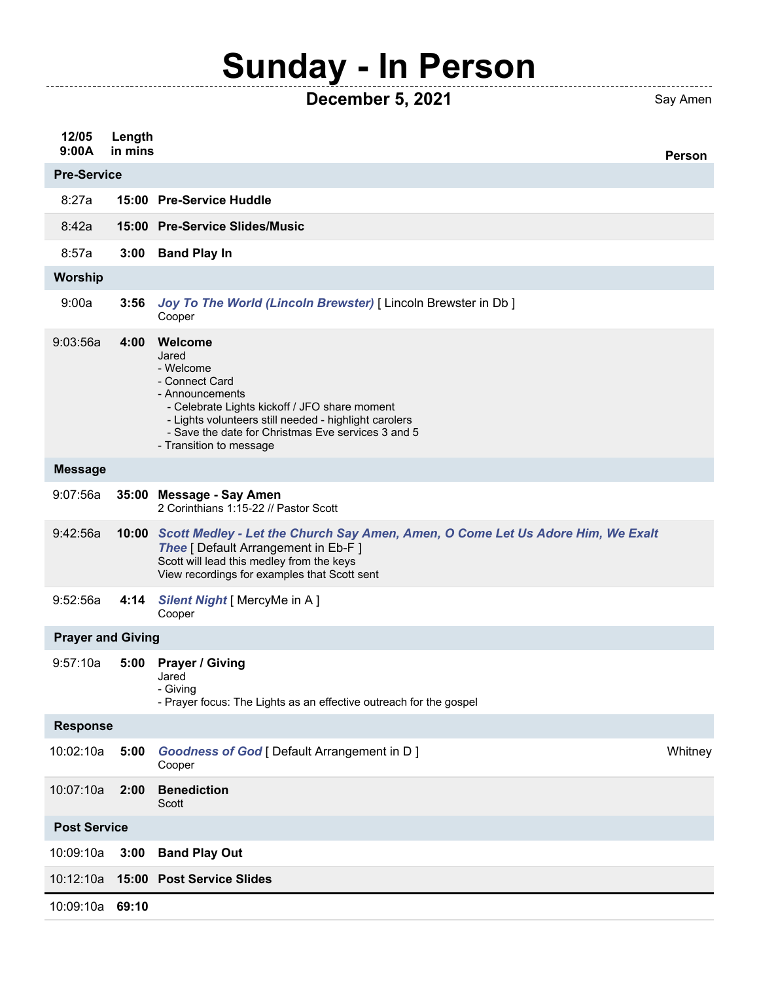## **Sunday - In Person**

. . . . . . . . . . . . . .

**December 5, 2021** Say Amen

**12/05 9:00A Length in mins Person** 8:27a **15:00 Pre-Service Huddle** 8:42a **15:00 Pre-Service Slides/Music** 8:57a **3:00 Band Play In** 9:00a **3:56** *Joy To The World (Lincoln Brewster)* [ Lincoln Brewster in Db ] Cooper 9:03:56a **4:00 Welcome** Jared - Welcome - Connect Card - Announcements - Celebrate Lights kickoff / JFO share moment - Lights volunteers still needed - highlight carolers - Save the date for Christmas Eve services 3 and 5 - Transition to message 9:07:56a **35:00 Message - Say Amen** 2 Corinthians 1:15-22 // Pastor Scott 9:42:56a **10:00** *Scott Medley - Let the Church Say Amen, Amen, O Come Let Us Adore Him, We Exalt* **Thee** [ Default Arrangement in Eb-F ] Scott will lead this medley from the keys View recordings for examples that Scott sent 9:52:56a **4:14** *Silent Night* [ MercyMe in A ] Cooper 9:57:10a **5:00 Prayer / Giving** Jared - Giving - Prayer focus: The Lights as an effective outreach for the gospel 10:02:10a **5:00** *Goodness of God* [ Default Arrangement in D ] Cooper **Whitney** 10:07:10a **2:00 Benediction** Scott 10:09:10a **3:00 Band Play Out** 10:12:10a **15:00 Post Service Slides** 10:09:10a **69:10 Pre-Service Worship Message Prayer and Giving Response Post Service**